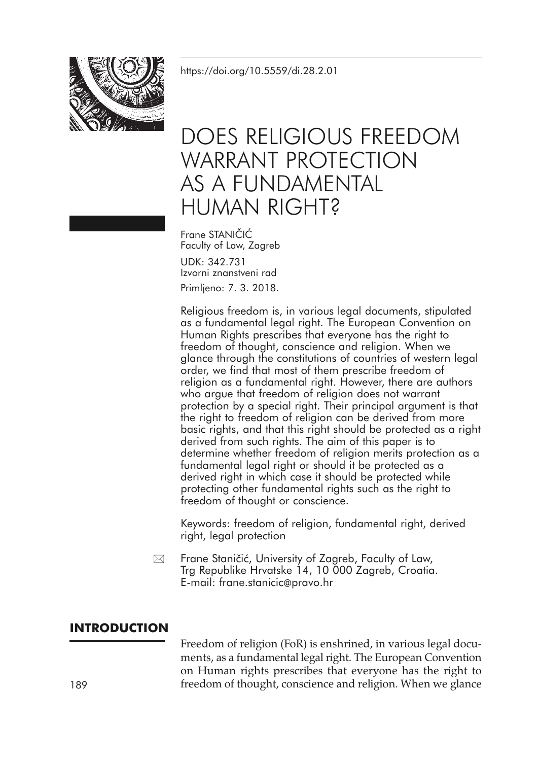<https://doi.org/10.5559/di.28.2.01>



# DOES RELIGIOUS FREEDOM WARRANT PROTECTION AS A FUNDAMENTAL HUMAN RIGHT?

Frane STANIČIĆ Faculty of Law, Zagreb

UDK: 342.731 Izvorni znanstveni rad Primljeno: 7. 3. 2018.

Religious freedom is, in various legal documents, stipulated as a fundamental legal right. The European Convention on Human Rights prescribes that everyone has the right to freedom of thought, conscience and religion. When we glance through the constitutions of countries of western legal order, we find that most of them prescribe freedom of religion as a fundamental right. However, there are authors who argue that freedom of religion does not warrant protection by a special right. Their principal argument is that the right to freedom of religion can be derived from more basic rights, and that this right should be protected as a right derived from such rights. The aim of this paper is to determine whether freedom of religion merits protection as a fundamental legal right or should it be protected as a derived right in which case it should be protected while protecting other fundamental rights such as the right to freedom of thought or conscience.

Keywords: freedom of religion, fundamental right, derived right, legal protection

Frane Staničić, University of Zagreb, Faculty of Law, Trg Republike Hrvatske 14, 10 000 Zagreb, Croatia. E-mail: frane.stanicic@pravo.hr  $\boxtimes$ 

# **INTRODUCTION**

Freedom of religion (FoR) is enshrined, in various legal documents, as a fundamental legal right. The European Convention on Human rights prescribes that everyone has the right to 189 freedom of thought, conscience and religion. When we glance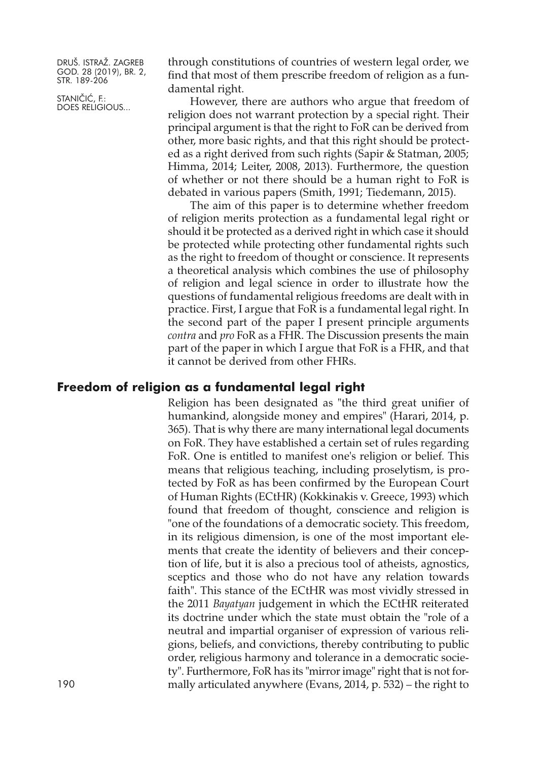STANIČIĆ, F.: DOES RELIGIOUS... through constitutions of countries of western legal order, we find that most of them prescribe freedom of religion as a fundamental right.

However, there are authors who argue that freedom of religion does not warrant protection by a special right. Their principal argument is that the right to FoR can be derived from other, more basic rights, and that this right should be protected as a right derived from such rights (Sapir & Statman, 2005; Himma, 2014; Leiter, 2008, 2013). Furthermore, the question of whether or not there should be a human right to FoR is debated in various papers (Smith, 1991; Tiedemann, 2015).

The aim of this paper is to determine whether freedom of religion merits protection as a fundamental legal right or should it be protected as a derived right in which case it should be protected while protecting other fundamental rights such as the right to freedom of thought or conscience. It represents a theoretical analysis which combines the use of philosophy of religion and legal science in order to illustrate how the questions of fundamental religious freedoms are dealt with in practice. First, I argue that FoR is a fundamental legal right. In the second part of the paper I present principle arguments *contra* and *pro* FoR as a FHR. The Discussion presents the main part of the paper in which I argue that FoR is a FHR, and that it cannot be derived from other FHRs.

#### **Freedom of religion as a fundamental legal right**

Religion has been designated as "the third great unifier of humankind, alongside money and empires" (Harari, 2014, p. 365). That is why there are many international legal documents on FoR. They have established a certain set of rules regarding FoR. One is entitled to manifest one's religion or belief. This means that religious teaching, including proselytism, is protected by FoR as has been confirmed by the European Court of Human Rights (ECtHR) (Kokkinakis v. Greece, 1993) which found that freedom of thought, conscience and religion is "one of the foundations of a democratic society. This freedom, in its religious dimension, is one of the most important elements that create the identity of believers and their conception of life, but it is also a precious tool of atheists, agnostics, sceptics and those who do not have any relation towards faith". This stance of the ECtHR was most vividly stressed in the 2011 *Bayatyan* judgement in which the ECtHR reiterated its doctrine under which the state must obtain the "role of a neutral and impartial organiser of expression of various religions, beliefs, and convictions, thereby contributing to public order, religious harmony and tolerance in a democratic society". Furthermore, FoR has its "mirror image" right that is not for-190 mally articulated anywhere (Evans, 2014, p. 532) – the right to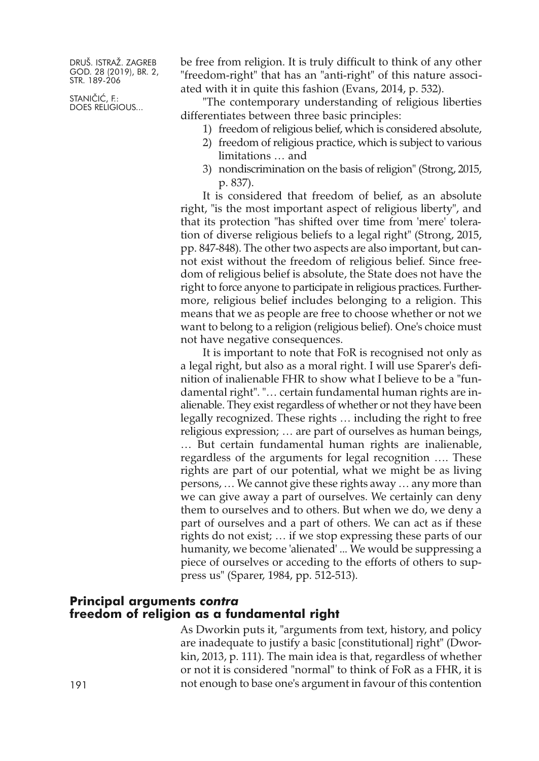STANIČIĆ, F.: DOES RELIGIOUS... be free from religion. It is truly difficult to think of any other "freedom-right" that has an "anti-right" of this nature associated with it in quite this fashion (Evans, 2014, p. 532).

"The contemporary understanding of religious liberties differentiates between three basic principles:

- 1) freedom of religious belief, which is considered absolute,
- 2) freedom of religious practice, which is subject to various limitations … and
- 3) nondiscrimination on the basis of religion" (Strong, 2015, p. 837).

It is considered that freedom of belief, as an absolute right, "is the most important aspect of religious liberty", and that its protection "has shifted over time from 'mere' toleration of diverse religious beliefs to a legal right" (Strong, 2015, pp. 847-848). The other two aspects are also important, but cannot exist without the freedom of religious belief. Since freedom of religious belief is absolute, the State does not have the right to force anyone to participate in religious practices. Furthermore, religious belief includes belonging to a religion. This means that we as people are free to choose whether or not we want to belong to a religion (religious belief). One's choice must not have negative consequences.

It is important to note that FoR is recognised not only as a legal right, but also as a moral right. I will use Sparer's definition of inalienable FHR to show what I believe to be a "fundamental right". "… certain fundamental human rights are inalienable. They exist regardless of whether or not they have been legally recognized. These rights … including the right to free religious expression; … are part of ourselves as human beings, … But certain fundamental human rights are inalienable, regardless of the arguments for legal recognition …. These rights are part of our potential, what we might be as living persons, … We cannot give these rights away … any more than we can give away a part of ourselves. We certainly can deny them to ourselves and to others. But when we do, we deny a part of ourselves and a part of others. We can act as if these rights do not exist; … if we stop expressing these parts of our humanity, we become 'alienated' ... We would be suppressing a piece of ourselves or acceding to the efforts of others to suppress us" (Sparer, 1984, pp. 512-513).

### **Principal arguments** *contra* **freedom of religion as a fundamental right**

As Dworkin puts it, "arguments from text, history, and policy are inadequate to justify a basic [constitutional] right" (Dworkin, 2013, p. 111). The main idea is that, regardless of whether or not it is considered "normal" to think of FoR as a FHR, it is 191 not enough to base one's argument in favour of this contention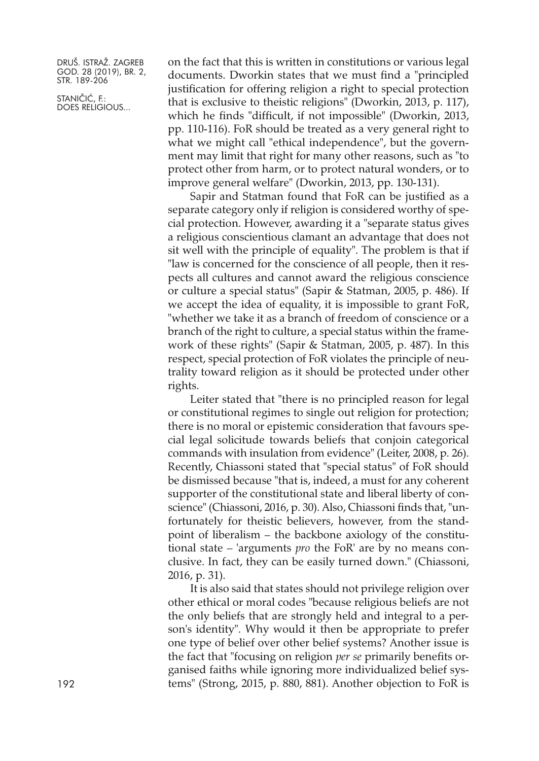STANIČIĆ, F.: DOES RELIGIOUS... on the fact that this is written in constitutions or various legal documents. Dworkin states that we must find a "principled justification for offering religion a right to special protection that is exclusive to theistic religions" (Dworkin, 2013, p. 117), which he finds "difficult, if not impossible" (Dworkin, 2013, pp. 110-116). FoR should be treated as a very general right to what we might call "ethical independence", but the government may limit that right for many other reasons, such as "to protect other from harm, or to protect natural wonders, or to improve general welfare" (Dworkin, 2013, pp. 130-131).

Sapir and Statman found that FoR can be justified as a separate category only if religion is considered worthy of special protection. However, awarding it a "separate status gives a religious conscientious clamant an advantage that does not sit well with the principle of equality". The problem is that if "law is concerned for the conscience of all people, then it respects all cultures and cannot award the religious conscience or culture a special status" (Sapir & Statman, 2005, p. 486). If we accept the idea of equality, it is impossible to grant FoR, "whether we take it as a branch of freedom of conscience or a branch of the right to culture, a special status within the framework of these rights" (Sapir & Statman, 2005, p. 487). In this respect, special protection of FoR violates the principle of neutrality toward religion as it should be protected under other rights.

Leiter stated that "there is no principled reason for legal or constitutional regimes to single out religion for protection; there is no moral or epistemic consideration that favours special legal solicitude towards beliefs that conjoin categorical commands with insulation from evidence" (Leiter, 2008, p. 26). Recently, Chiassoni stated that "special status" of FoR should be dismissed because "that is, indeed, a must for any coherent supporter of the constitutional state and liberal liberty of conscience" (Chiassoni, 2016, p. 30). Also, Chiassoni finds that, "unfortunately for theistic believers, however, from the standpoint of liberalism – the backbone axiology of the constitutional state – 'arguments *pro* the FoR' are by no means conclusive. In fact, they can be easily turned down." (Chiassoni, 2016, p. 31).

It is also said that states should not privilege religion over other ethical or moral codes "because religious beliefs are not the only beliefs that are strongly held and integral to a person's identity". Why would it then be appropriate to prefer one type of belief over other belief systems? Another issue is the fact that "focusing on religion *per se* primarily benefits organised faiths while ignoring more individualized belief sys-192 tems" (Strong, 2015, p. 880, 881). Another objection to FoR is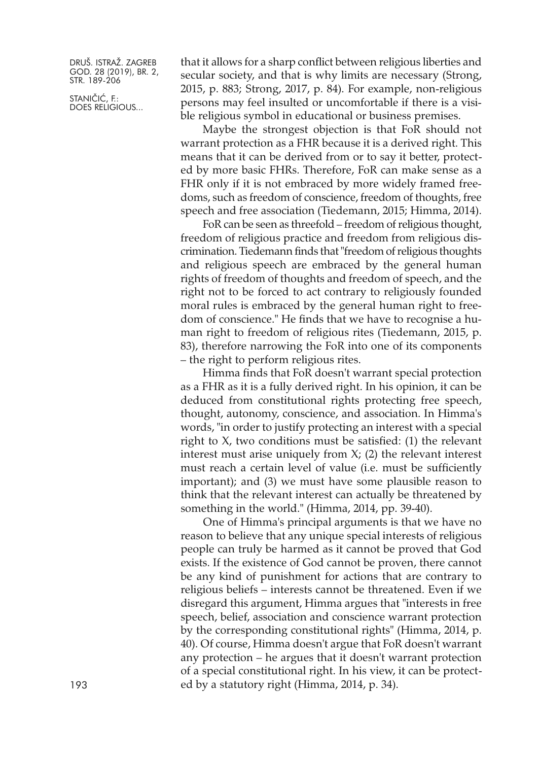STANIČIĆ, F.: DOES RELIGIOUS... that it allows for a sharp conflict between religious liberties and secular society, and that is why limits are necessary (Strong, 2015, p. 883; Strong, 2017, p. 84). For example, non-religious persons may feel insulted or uncomfortable if there is a visible religious symbol in educational or business premises.

Maybe the strongest objection is that FoR should not warrant protection as a FHR because it is a derived right. This means that it can be derived from or to say it better, protected by more basic FHRs. Therefore, FoR can make sense as a FHR only if it is not embraced by more widely framed freedoms, such as freedom of conscience, freedom of thoughts, free speech and free association (Tiedemann, 2015; Himma, 2014).

FoR can be seen as threefold – freedom of religious thought, freedom of religious practice and freedom from religious discrimination. Tiedemann finds that"freedom ofreligious thoughts and religious speech are embraced by the general human rights of freedom of thoughts and freedom of speech, and the right not to be forced to act contrary to religiously founded moral rules is embraced by the general human right to freedom of conscience." He finds that we have to recognise a human right to freedom of religious rites (Tiedemann, 2015, p. 83), therefore narrowing the FoR into one of its components – the right to perform religious rites.

Himma finds that FoR doesn't warrant special protection as a FHR as it is a fully derived right. In his opinion, it can be deduced from constitutional rights protecting free speech, thought, autonomy, conscience, and association. In Himma's words, "in order to justify protecting an interest with a special right to X, two conditions must be satisfied: (1) the relevant interest must arise uniquely from X; (2) the relevant interest must reach a certain level of value (i.e. must be sufficiently important); and (3) we must have some plausible reason to think that the relevant interest can actually be threatened by something in the world." (Himma, 2014, pp. 39-40).

One of Himma's principal arguments is that we have no reason to believe that any unique special interests of religious people can truly be harmed as it cannot be proved that God exists. If the existence of God cannot be proven, there cannot be any kind of punishment for actions that are contrary to religious beliefs – interests cannot be threatened. Even if we disregard this argument, Himma argues that "interests in free speech, belief, association and conscience warrant protection by the corresponding constitutional rights" (Himma, 2014, p. 40). Of course, Himma doesn't argue that FoR doesn't warrant any protection – he argues that it doesn't warrant protection of a special constitutional right. In his view, it can be protect-193 ed by a statutory right (Himma, 2014, p. 34).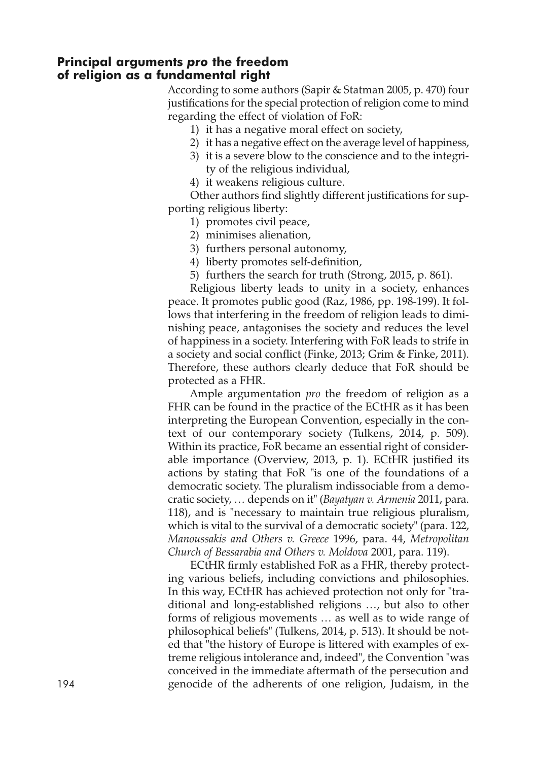## **Principal arguments** *pro* **the freedom of religion as a fundamental right**

According to some authors (Sapir & Statman 2005, p. 470) four justifications for the special protection of religion come to mind regarding the effect of violation of FoR:

- 1) it has a negative moral effect on society,
- 2) it has a negative effect on the average level of happiness,
- 3) it is a severe blow to the conscience and to the integrity of the religious individual,
- 4) it weakens religious culture.

Other authors find slightly different justifications for supporting religious liberty:

- 1) promotes civil peace,
- 2) minimises alienation,
- 3) furthers personal autonomy,
- 4) liberty promotes self-definition,
- 5) furthers the search for truth (Strong, 2015, p. 861).

Religious liberty leads to unity in a society, enhances peace. It promotes public good (Raz, 1986, pp. 198-199). It follows that interfering in the freedom of religion leads to diminishing peace, antagonises the society and reduces the level of happiness in a society. Interfering with FoR leads to strife in a society and social conflict (Finke, 2013; Grim & Finke, 2011). Therefore, these authors clearly deduce that FoR should be protected as a FHR.

Ample argumentation *pro* the freedom of religion as a FHR can be found in the practice of the ECtHR as it has been interpreting the European Convention, especially in the context of our contemporary society (Tulkens, 2014, p. 509). Within its practice, FoR became an essential right of considerable importance (Overview, 2013, p. 1). ECtHR justified its actions by stating that FoR "is one of the foundations of a democratic society. The pluralism indissociable from a democratic society, … depends on it" (*Bayatyan v. Armenia* 2011, para. 118), and is "necessary to maintain true religious pluralism, which is vital to the survival of a democratic society" (para. 122, *Manoussakis and Others v. Greece* 1996, para. 44, *Metropolitan Church of Bessarabia and Others v. Moldova* 2001, para. 119).

ECtHR firmly established FoR as a FHR, thereby protecting various beliefs, including convictions and philosophies. In this way, ECtHR has achieved protection not only for "traditional and long-established religions …, but also to other forms of religious movements … as well as to wide range of philosophical beliefs" (Tulkens, 2014, p. 513). It should be noted that "the history of Europe is littered with examples of extreme religious intolerance and, indeed", the Convention "was conceived in the immediate aftermath of the persecution and 194 genocide of the adherents of one religion, Judaism, in the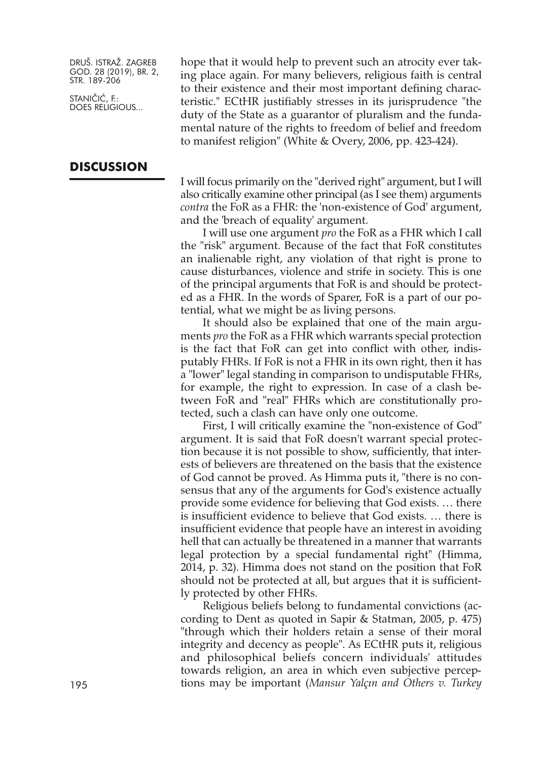STANIČIĆ, F.: DOES RELIGIOUS...

#### **DISCUSSION**

hope that it would help to prevent such an atrocity ever taking place again. For many believers, religious faith is central to their existence and their most important defining characteristic." ECtHR justifiably stresses in its jurisprudence "the duty of the State as a guarantor of pluralism and the fundamental nature of the rights to freedom of belief and freedom to manifest religion" (White & Overy, 2006, pp. 423-424).

I will focus primarily on the "derived right" argument, but I will also critically examine other principal (as I see them) arguments *contra* the FoR as a FHR: the 'non-existence of God' argument, and the 'breach of equality' argument.

I will use one argument *pro* the FoR as a FHR which I call the "risk" argument. Because of the fact that FoR constitutes an inalienable right, any violation of that right is prone to cause disturbances, violence and strife in society. This is one of the principal arguments that FoR is and should be protected as a FHR. In the words of Sparer, FoR is a part of our potential, what we might be as living persons.

It should also be explained that one of the main arguments *pro* the FoR as a FHR which warrants special protection is the fact that FoR can get into conflict with other, indisputably FHRs. If FoR is not a FHR in its own right, then it has a "lower" legal standing in comparison to undisputable FHRs, for example, the right to expression. In case of a clash between FoR and "real" FHRs which are constitutionally protected, such a clash can have only one outcome.

First, I will critically examine the "non-existence of God" argument. It is said that FoR doesn't warrant special protection because it is not possible to show, sufficiently, that interests of believers are threatened on the basis that the existence of God cannot be proved. As Himma puts it, "there is no consensus that any of the arguments for God's existence actually provide some evidence for believing that God exists. … there is insufficient evidence to believe that God exists. … there is insufficient evidence that people have an interest in avoiding hell that can actually be threatened in a manner that warrants legal protection by a special fundamental right" (Himma, 2014, p. 32). Himma does not stand on the position that FoR should not be protected at all, but argues that it is sufficiently protected by other FHRs.

Religious beliefs belong to fundamental convictions (according to Dent as quoted in Sapir & Statman, 2005, p. 475) "through which their holders retain a sense of their moral integrity and decency as people". As ECtHR puts it, religious and philosophical beliefs concern individuals' attitudes towards religion, an area in which even subjective percep-195 tions may be important (*Mansur Yalçın and Others v. Turkey*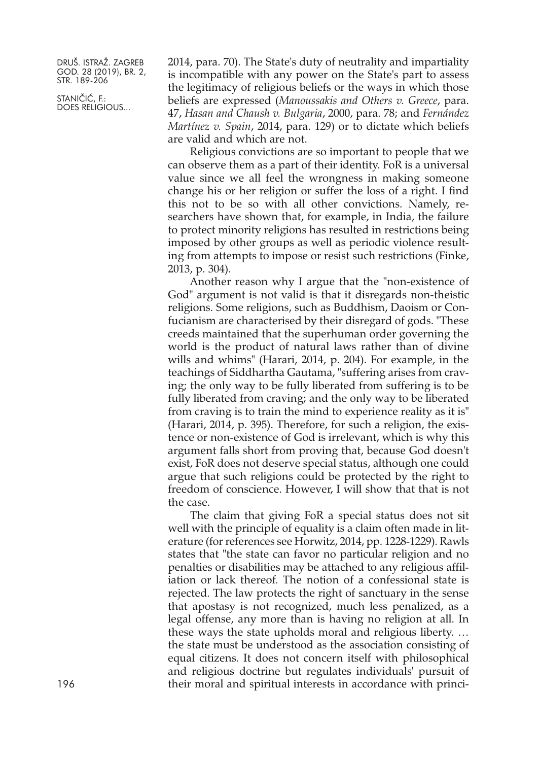STANIČIĆ, F.: DOES RELIGIOUS... 2014, para. 70). The State's duty of neutrality and impartiality is incompatible with any power on the State's part to assess the legitimacy of religious beliefs or the ways in which those beliefs are expressed (*Manoussakis and Others v. Greece*, para. 47, *Hasan and Chaush v. Bulgaria*, 2000, para. 78; and *Fernández Martínez v. Spain*, 2014, para. 129) or to dictate which beliefs are valid and which are not.

Religious convictions are so important to people that we can observe them as a part of their identity. FoR is a universal value since we all feel the wrongness in making someone change his or her religion or suffer the loss of a right. I find this not to be so with all other convictions. Namely, researchers have shown that, for example, in India, the failure to protect minority religions has resulted in restrictions being imposed by other groups as well as periodic violence resulting from attempts to impose or resist such restrictions (Finke, 2013, p. 304).

Another reason why I argue that the "non-existence of God" argument is not valid is that it disregards non-theistic religions. Some religions, such as Buddhism, Daoism or Confucianism are characterised by their disregard of gods. "These creeds maintained that the superhuman order governing the world is the product of natural laws rather than of divine wills and whims" (Harari, 2014, p. 204). For example, in the teachings of Siddhartha Gautama, "suffering arises from craving; the only way to be fully liberated from suffering is to be fully liberated from craving; and the only way to be liberated from craving is to train the mind to experience reality as it is" (Harari, 2014, p. 395). Therefore, for such a religion, the existence or non-existence of God is irrelevant, which is why this argument falls short from proving that, because God doesn't exist, FoR does not deserve special status, although one could argue that such religions could be protected by the right to freedom of conscience. However, I will show that that is not the case.

The claim that giving FoR a special status does not sit well with the principle of equality is a claim often made in literature (for references see Horwitz, 2014, pp. 1228-1229). Rawls states that "the state can favor no particular religion and no penalties or disabilities may be attached to any religious affiliation or lack thereof. The notion of a confessional state is rejected. The law protects the right of sanctuary in the sense that apostasy is not recognized, much less penalized, as a legal offense, any more than is having no religion at all. In these ways the state upholds moral and religious liberty. … the state must be understood as the association consisting of equal citizens. It does not concern itself with philosophical and religious doctrine but regulates individuals' pursuit of 196 their moral and spiritual interests in accordance with princi-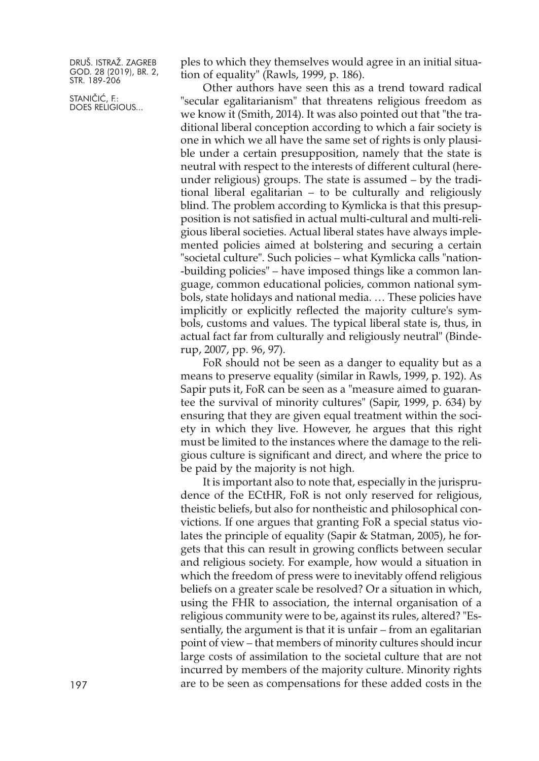STANIČIĆ, F.: DOES RELIGIOUS... ples to which they themselves would agree in an initial situation of equality" (Rawls, 1999, p. 186).

Other authors have seen this as a trend toward radical "secular egalitarianism" that threatens religious freedom as we know it (Smith, 2014). It was also pointed out that "the traditional liberal conception according to which a fair society is one in which we all have the same set of rights is only plausible under a certain presupposition, namely that the state is neutral with respect to the interests of different cultural (hereunder religious) groups. The state is assumed – by the traditional liberal egalitarian – to be culturally and religiously blind. The problem according to Kymlicka is that this presupposition is not satisfied in actual multi-cultural and multi-religious liberal societies. Actual liberal states have always implemented policies aimed at bolstering and securing a certain "societal culture". Such policies – what Kymlicka calls "nation- -building policies" – have imposed things like a common language, common educational policies, common national symbols, state holidays and national media. … These policies have implicitly or explicitly reflected the majority culture's symbols, customs and values. The typical liberal state is, thus, in actual fact far from culturally and religiously neutral" (Binderup, 2007, pp. 96, 97).

FoR should not be seen as a danger to equality but as a means to preserve equality (similar in Rawls, 1999, p. 192). As Sapir puts it, FoR can be seen as a "measure aimed to guarantee the survival of minority cultures" (Sapir, 1999, p. 634) by ensuring that they are given equal treatment within the society in which they live. However, he argues that this right must be limited to the instances where the damage to the religious culture is significant and direct, and where the price to be paid by the majority is not high.

It is important also to note that, especially in the jurisprudence of the ECtHR, FoR is not only reserved for religious, theistic beliefs, but also for nontheistic and philosophical convictions. If one argues that granting FoR a special status violates the principle of equality (Sapir & Statman, 2005), he forgets that this can result in growing conflicts between secular and religious society. For example, how would a situation in which the freedom of press were to inevitably offend religious beliefs on a greater scale be resolved? Or a situation in which, using the FHR to association, the internal organisation of a religious community were to be, against its rules, altered? "Essentially, the argument is that it is unfair – from an egalitarian point of view – that members of minority cultures should incur large costs of assimilation to the societal culture that are not incurred by members of the majority culture. Minority rights 197 are to be seen as compensations for these added costs in the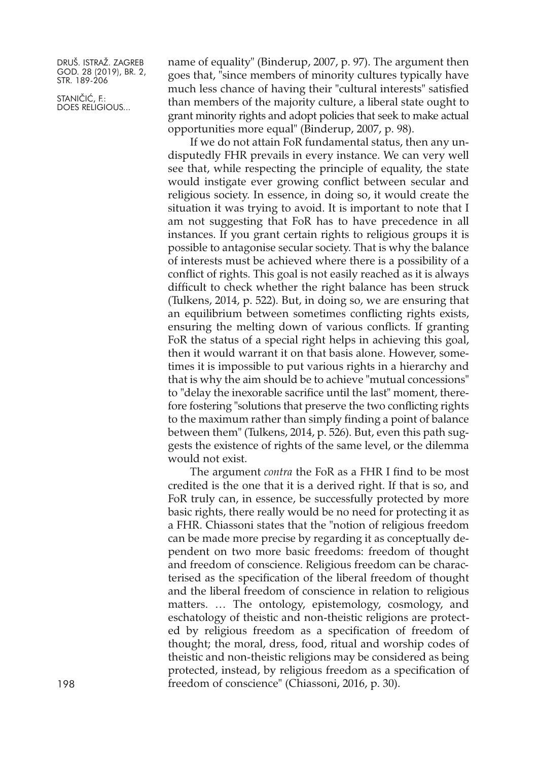STANIČIĆ, F.: DOES RELIGIOUS... name of equality" (Binderup, 2007, p. 97). The argument then goes that, "since members of minority cultures typically have much less chance of having their "cultural interests" satisfied than members of the majority culture, a liberal state ought to grant minority rights and adopt policies that seek to make actual opportunities more equal" (Binderup, 2007, p. 98).

If we do not attain FoR fundamental status, then any undisputedly FHR prevails in every instance. We can very well see that, while respecting the principle of equality, the state would instigate ever growing conflict between secular and religious society. In essence, in doing so, it would create the situation it was trying to avoid. It is important to note that I am not suggesting that FoR has to have precedence in all instances. If you grant certain rights to religious groups it is possible to antagonise secular society. That is why the balance of interests must be achieved where there is a possibility of a conflict of rights. This goal is not easily reached as it is always difficult to check whether the right balance has been struck (Tulkens, 2014, p. 522). But, in doing so, we are ensuring that an equilibrium between sometimes conflicting rights exists, ensuring the melting down of various conflicts. If granting FoR the status of a special right helps in achieving this goal, then it would warrant it on that basis alone. However, sometimes it is impossible to put various rights in a hierarchy and that is why the aim should be to achieve "mutual concessions" to "delay the inexorable sacrifice until the last" moment, therefore fostering "solutions that preserve the two conflicting rights to the maximum rather than simply finding a point of balance between them" (Tulkens, 2014, p. 526). But, even this path suggests the existence of rights of the same level, or the dilemma would not exist.

The argument *contra* the FoR as a FHR I find to be most credited is the one that it is a derived right. If that is so, and FoR truly can, in essence, be successfully protected by more basic rights, there really would be no need for protecting it as a FHR. Chiassoni states that the "notion of religious freedom can be made more precise by regarding it as conceptually dependent on two more basic freedoms: freedom of thought and freedom of conscience. Religious freedom can be characterised as the specification of the liberal freedom of thought and the liberal freedom of conscience in relation to religious matters. … The ontology, epistemology, cosmology, and eschatology of theistic and non-theistic religions are protected by religious freedom as a specification of freedom of thought; the moral, dress, food, ritual and worship codes of theistic and non-theistic religions may be considered as being protected, instead, by religious freedom as a specification of 198 freedom of conscience" (Chiassoni, 2016, p. 30).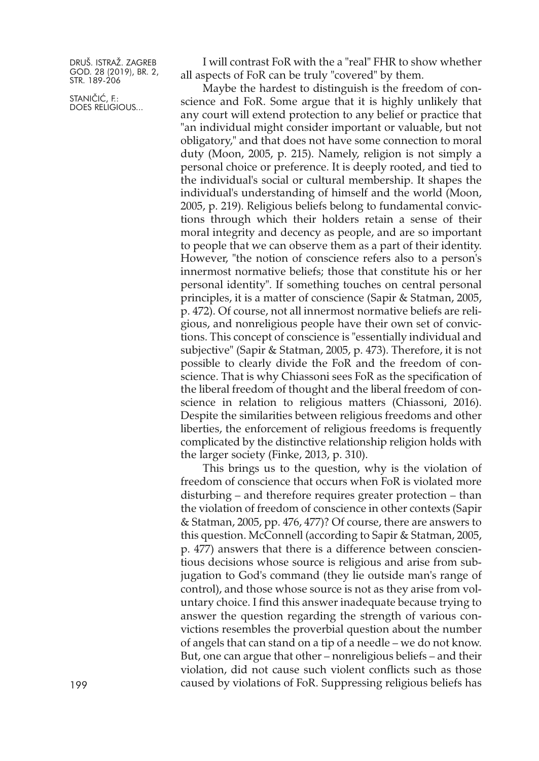STANIČIĆ, F.: DOES RELIGIOUS...

I will contrast FoR with the a "real" FHR to show whether all aspects of FoR can be truly "covered" by them.

Maybe the hardest to distinguish is the freedom of conscience and FoR. Some argue that it is highly unlikely that any court will extend protection to any belief or practice that "an individual might consider important or valuable, but not obligatory," and that does not have some connection to moral duty (Moon, 2005, p. 215). Namely, religion is not simply a personal choice or preference. It is deeply rooted, and tied to the individual's social or cultural membership. It shapes the individual's understanding of himself and the world (Moon, 2005, p. 219). Religious beliefs belong to fundamental convictions through which their holders retain a sense of their moral integrity and decency as people, and are so important to people that we can observe them as a part of their identity. However, "the notion of conscience refers also to a person's innermost normative beliefs; those that constitute his or her personal identity". If something touches on central personal principles, it is a matter of conscience (Sapir & Statman, 2005, p. 472). Of course, not all innermost normative beliefs are religious, and nonreligious people have their own set of convictions. This concept of conscience is "essentially individual and subjective" (Sapir & Statman, 2005, p. 473). Therefore, it is not possible to clearly divide the FoR and the freedom of conscience. That is why Chiassoni sees FoR as the specification of the liberal freedom of thought and the liberal freedom of conscience in relation to religious matters (Chiassoni, 2016). Despite the similarities between religious freedoms and other liberties, the enforcement of religious freedoms is frequently complicated by the distinctive relationship religion holds with the larger society (Finke, 2013, p. 310).

This brings us to the question, why is the violation of freedom of conscience that occurs when FoR is violated more disturbing – and therefore requires greater protection – than the violation of freedom of conscience in other contexts (Sapir & Statman, 2005, pp. 476, 477)? Of course, there are answers to this question. McConnell (according to Sapir & Statman, 2005, p. 477) answers that there is a difference between conscientious decisions whose source is religious and arise from subjugation to God's command (they lie outside man's range of control), and those whose source is not as they arise from voluntary choice. I find this answer inadequate because trying to answer the question regarding the strength of various convictions resembles the proverbial question about the number of angels that can stand on a tip of a needle – we do not know. But, one can argue that other – nonreligious beliefs – and their violation, did not cause such violent conflicts such as those 199 caused by violations of FoR. Suppressing religious beliefs has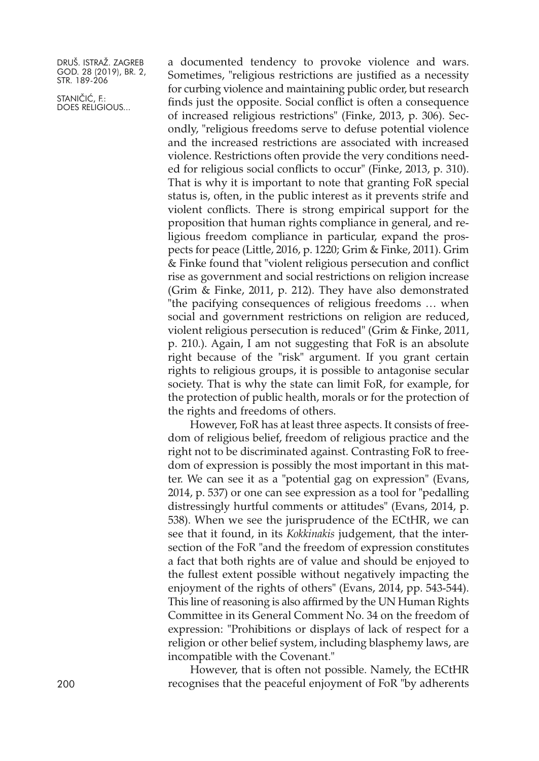STANIČIĆ, F.: DOES RELIGIOUS... a documented tendency to provoke violence and wars. Sometimes, "religious restrictions are justified as a necessity for curbing violence and maintaining public order, but research finds just the opposite. Social conflict is often a consequence of increased religious restrictions" (Finke, 2013, p. 306). Secondly, "religious freedoms serve to defuse potential violence and the increased restrictions are associated with increased violence. Restrictions often provide the very conditions needed for religious social conflicts to occur" (Finke, 2013, p. 310). That is why it is important to note that granting FoR special status is, often, in the public interest as it prevents strife and violent conflicts. There is strong empirical support for the proposition that human rights compliance in general, and religious freedom compliance in particular, expand the prospects for peace (Little, 2016, p. 1220; Grim & Finke, 2011). Grim & Finke found that "violent religious persecution and conflict rise as government and social restrictions on religion increase (Grim & Finke, 2011, p. 212). They have also demonstrated "the pacifying consequences of religious freedoms … when social and government restrictions on religion are reduced, violent religious persecution is reduced" (Grim & Finke, 2011, p. 210.). Again, I am not suggesting that FoR is an absolute right because of the "risk" argument. If you grant certain rights to religious groups, it is possible to antagonise secular society. That is why the state can limit FoR, for example, for the protection of public health, morals or for the protection of the rights and freedoms of others.

However, FoR has at least three aspects. It consists of freedom of religious belief, freedom of religious practice and the right not to be discriminated against. Contrasting FoR to freedom of expression is possibly the most important in this matter. We can see it as a "potential gag on expression" (Evans, 2014, p. 537) or one can see expression as a tool for "pedalling distressingly hurtful comments or attitudes" (Evans, 2014, p. 538). When we see the jurisprudence of the ECtHR, we can see that it found, in its *Kokkinakis* judgement, that the intersection of the FoR "and the freedom of expression constitutes a fact that both rights are of value and should be enjoyed to the fullest extent possible without negatively impacting the enjoyment of the rights of others" (Evans, 2014, pp. 543-544). This line of reasoning is also affirmed by the UN Human Rights Committee in its General Comment No. 34 on the freedom of expression: "Prohibitions or displays of lack of respect for a religion or other belief system, including blasphemy laws, are incompatible with the Covenant."

However, that is often not possible. Namely, the ECtHR 200 recognises that the peaceful enjoyment of FoR "by adherents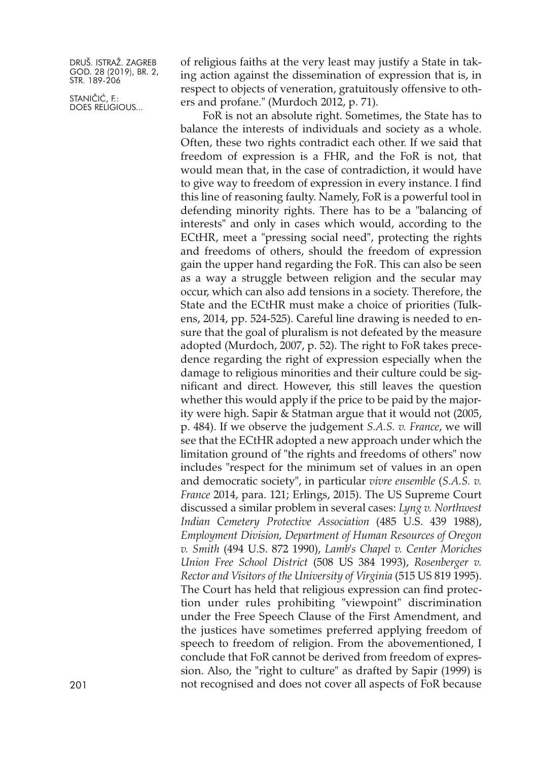STANIČIĆ, F.: DOES RELIGIOUS... of religious faiths at the very least may justify a State in taking action against the dissemination of expression that is, in respect to objects of veneration, gratuitously offensive to others and profane." (Murdoch 2012, p. 71).

FoR is not an absolute right. Sometimes, the State has to balance the interests of individuals and society as a whole. Often, these two rights contradict each other. If we said that freedom of expression is a FHR, and the FoR is not, that would mean that, in the case of contradiction, it would have to give way to freedom of expression in every instance. I find this line of reasoning faulty. Namely, FoR is a powerful tool in defending minority rights. There has to be a "balancing of interests" and only in cases which would, according to the ECtHR, meet a "pressing social need", protecting the rights and freedoms of others, should the freedom of expression gain the upper hand regarding the FoR. This can also be seen as a way a struggle between religion and the secular may occur, which can also add tensions in a society. Therefore, the State and the ECtHR must make a choice of priorities (Tulkens, 2014, pp. 524-525). Careful line drawing is needed to ensure that the goal of pluralism is not defeated by the measure adopted (Murdoch, 2007, p. 52). The right to FoR takes precedence regarding the right of expression especially when the damage to religious minorities and their culture could be significant and direct. However, this still leaves the question whether this would apply if the price to be paid by the majority were high. Sapir & Statman argue that it would not (2005, p. 484). If we observe the judgement *S.A.S. v. France*, we will see that the ECtHR adopted a new approach under which the limitation ground of "the rights and freedoms of others" now includes "respect for the minimum set of values in an open and democratic society", in particular *vivre ensemble* (*S.A.S. v. France* 2014, para. 121; Erlings, 2015). The US Supreme Court discussed a similar problem in several cases: *Lyng v. Northwest Indian Cemetery Protective Association* (485 U.S. 439 1988), *Employment Division, Department of Human Resources of Oregon v. Smith* (494 U.S. 872 1990), *Lamb's Chapel v. Center Moriches Union Free School District* (508 US 384 1993), *Rosenberger v. Rector and Visitors of the University of Virginia* (515 US 819 1995). The Court has held that religious expression can find protection under rules prohibiting "viewpoint" discrimination under the Free Speech Clause of the First Amendment, and the justices have sometimes preferred applying freedom of speech to freedom of religion. From the abovementioned, I conclude that FoR cannot be derived from freedom of expression. Also, the "right to culture" as drafted by Sapir (1999) is 201 not recognised and does not cover all aspects of FoR because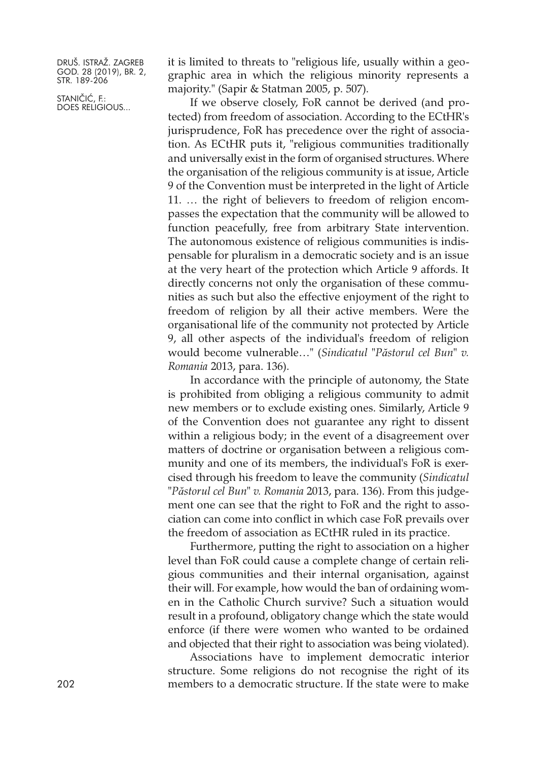STANIČIĆ, F.: DOES RELIGIOUS... it is limited to threats to "religious life, usually within a geographic area in which the religious minority represents a majority." (Sapir & Statman 2005, p. 507).

If we observe closely, FoR cannot be derived (and protected) from freedom of association. According to the ECtHR's jurisprudence, FoR has precedence over the right of association. As ECtHR puts it, "religious communities traditionally and universally exist in the form of organised structures. Where the organisation of the religious community is at issue, Article 9 of the Convention must be interpreted in the light of Article 11. … the right of believers to freedom of religion encompasses the expectation that the community will be allowed to function peacefully, free from arbitrary State intervention. The autonomous existence of religious communities is indispensable for pluralism in a democratic society and is an issue at the very heart of the protection which Article 9 affords. It directly concerns not only the organisation of these communities as such but also the effective enjoyment of the right to freedom of religion by all their active members. Were the organisational life of the community not protected by Article 9, all other aspects of the individual's freedom of religion would become vulnerable…" (*Sindicatul "Păstorul cel Bun" v. Romania* 2013, para. 136).

In accordance with the principle of autonomy, the State is prohibited from obliging a religious community to admit new members or to exclude existing ones. Similarly, Article 9 of the Convention does not guarantee any right to dissent within a religious body; in the event of a disagreement over matters of doctrine or organisation between a religious community and one of its members, the individual's FoR is exercised through his freedom to leave the community (*Sindicatul "Păstorul cel Bun" v. Romania* 2013, para. 136). From this judgement one can see that the right to FoR and the right to association can come into conflict in which case FoR prevails over the freedom of association as ECtHR ruled in its practice.

Furthermore, putting the right to association on a higher level than FoR could cause a complete change of certain religious communities and their internal organisation, against their will. For example, how would the ban of ordaining women in the Catholic Church survive? Such a situation would result in a profound, obligatory change which the state would enforce (if there were women who wanted to be ordained and objected that their right to association was being violated).

Associations have to implement democratic interior structure. Some religions do not recognise the right of its 202 members to a democratic structure. If the state were to make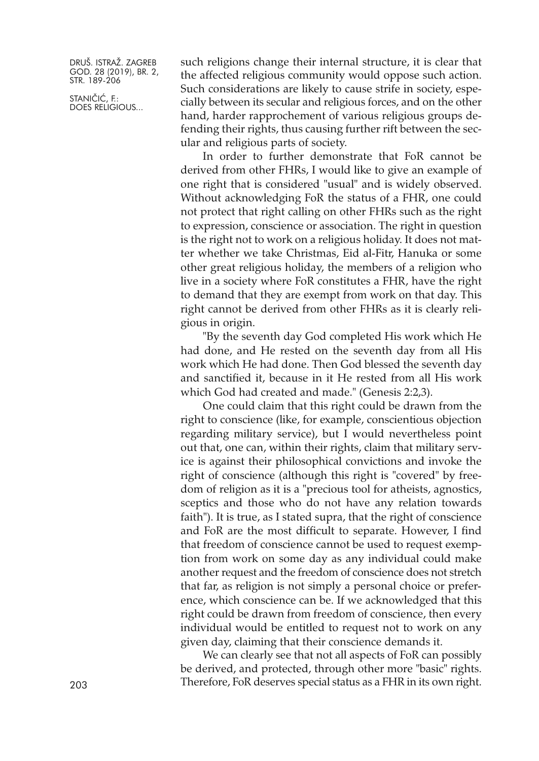STANIČIĆ, F.: DOES RELIGIOUS... such religions change their internal structure, it is clear that the affected religious community would oppose such action. Such considerations are likely to cause strife in society, especially between its secular and religious forces, and on the other hand, harder rapprochement of various religious groups defending their rights, thus causing further rift between the secular and religious parts of society.

In order to further demonstrate that FoR cannot be derived from other FHRs, I would like to give an example of one right that is considered "usual" and is widely observed. Without acknowledging FoR the status of a FHR, one could not protect that right calling on other FHRs such as the right to expression, conscience or association. The right in question is the right not to work on a religious holiday. It does not matter whether we take Christmas, Eid al-Fitr, Hanuka or some other great religious holiday, the members of a religion who live in a society where FoR constitutes a FHR, have the right to demand that they are exempt from work on that day. This right cannot be derived from other FHRs as it is clearly religious in origin.

"By the seventh day God completed His work which He had done, and He rested on the seventh day from all His work which He had done. Then God blessed the seventh day and sanctified it, because in it He rested from all His work which God had created and made." (Genesis 2:2,3).

One could claim that this right could be drawn from the right to conscience (like, for example, conscientious objection regarding military service), but I would nevertheless point out that, one can, within their rights, claim that military service is against their philosophical convictions and invoke the right of conscience (although this right is "covered" by freedom of religion as it is a "precious tool for atheists, agnostics, sceptics and those who do not have any relation towards faith"). It is true, as I stated supra, that the right of conscience and FoR are the most difficult to separate. However, I find that freedom of conscience cannot be used to request exemption from work on some day as any individual could make another request and the freedom of conscience does not stretch that far, as religion is not simply a personal choice or preference, which conscience can be. If we acknowledged that this right could be drawn from freedom of conscience, then every individual would be entitled to request not to work on any given day, claiming that their conscience demands it.

We can clearly see that not all aspects of FoR can possibly be derived, and protected, through other more "basic" rights. Therefore, FoR deserves special status as a FHR in its own right. 203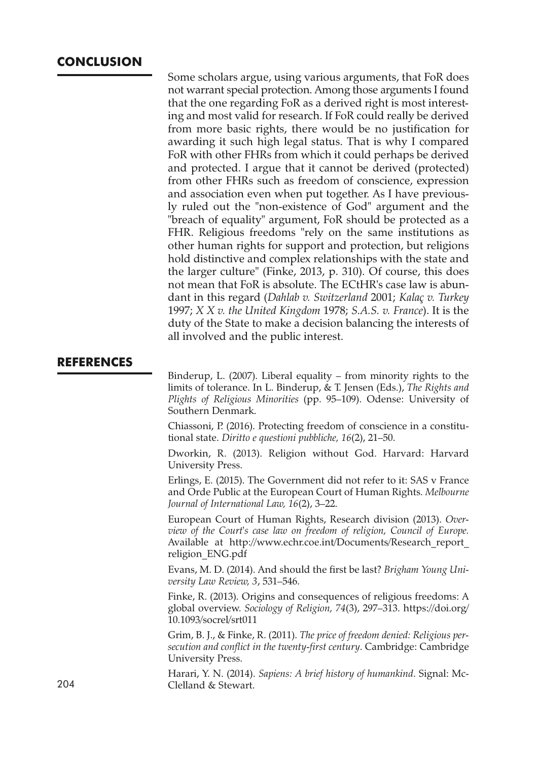#### **CONCLUSION**

Some scholars argue, using various arguments, that FoR does not warrant special protection. Among those arguments I found that the one regarding FoR as a derived right is most interesting and most valid for research. If FoR could really be derived from more basic rights, there would be no justification for awarding it such high legal status. That is why I compared FoR with other FHRs from which it could perhaps be derived and protected. I argue that it cannot be derived (protected) from other FHRs such as freedom of conscience, expression and association even when put together. As I have previously ruled out the "non-existence of God" argument and the "breach of equality" argument, FoR should be protected as a FHR. Religious freedoms "rely on the same institutions as other human rights for support and protection, but religions hold distinctive and complex relationships with the state and the larger culture" (Finke, 2013, p. 310). Of course, this does not mean that FoR is absolute. The ECtHR's case law is abundant in this regard (*Dahlab v. Switzerland* 2001; *Kalaç v. Turkey* 1997; *X X v. the United Kingdom* 1978; *S.A.S. v. France*). It is the duty of the State to make a decision balancing the interests of all involved and the public interest.

#### **REFERENCES**

Binderup, L. (2007). Liberal equality – from minority rights to the limits of tolerance. In L. Binderup, & T. Jensen (Eds.), *The Rights and Plights of Religious Minorities* (pp. 95–109). Odense: University of Southern Denmark.

Chiassoni, P. (2016). Protecting freedom of conscience in a constitutional state. *Diritto e questioni pubbliche, 16*(2), 21–50.

Dworkin, R. (2013). Religion without God. Harvard: Harvard University Press.

Erlings, E. (2015). The Government did not refer to it: SAS v France and Orde Public at the European Court of Human Rights. *Melbourne Journal of International Law, 16*(2), 3–22.

European Court of Human Rights, Research division (2013). *Overview of the Court's case law on freedom of religion, Council of Europe.* Available at [http://www.echr.coe.int/Documents/Research\\_report\\_](http://www.echr.coe.int/Documents/Research_report_religion_ENG.pdf) [religion\\_ENG.pdf](http://www.echr.coe.int/Documents/Research_report_religion_ENG.pdf)

Evans, M. D. (2014). And should the first be last? *Brigham Young University Law Review, 3*, 531–546.

Finke, R. (2013). Origins and consequences of religious freedoms: A global overview. *Sociology of Religion, 74*(3), 297–313. [https://doi.org/](https://doi.org/10.1093/socrel/srt011) [10.1093/socrel/srt011](https://doi.org/10.1093/socrel/srt011)

Grim, B. J., & Finke, R. (2011). *The price of freedom denied: Religious persecution and conflict in the twenty-first century*. Cambridge: Cambridge University Press.

Harari, Y. N. (2014). *Sapiens: A brief history of humankind*. Signal: Mc-204 Clelland & Stewart.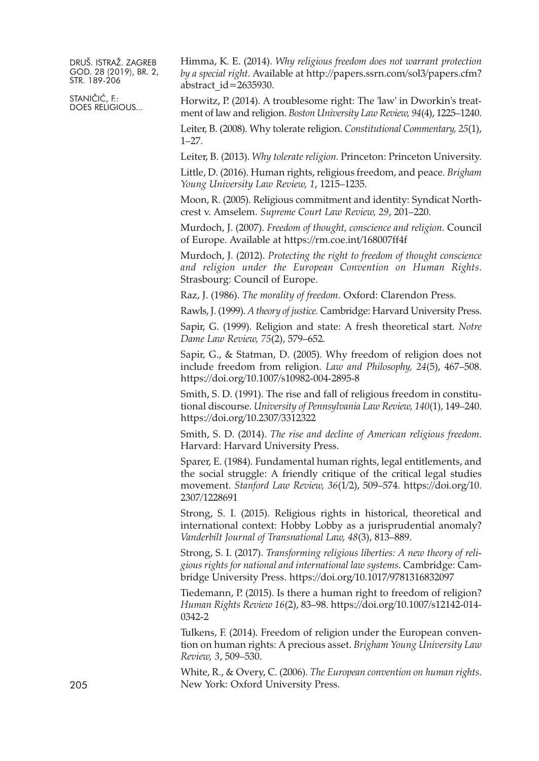STANIČIĆ, F.: DOES RELIGIOUS... Himma, K. E. (2014). *Why religious freedom does not warrant protection by a special right.* Available at [http://papers.ssrn.com/sol3/papers.cfm?](http://papers.ssrn.com/sol3/papers.cfm?abstract_id=2635930) abstract  $id=2635930$ .

Horwitz, P. (2014). A troublesome right: The 'law' in Dworkin's treatment of law and religion. *Boston University Law Review, 94*(4), 1225–1240.

Leiter, B. (2008). Why tolerate religion. *Constitutional Commentary, 25*(1), 1–27.

Leiter, B. (2013). *Why tolerate religion.* Princeton: Princeton University.

Little, D. (2016). Human rights, religious freedom, and peace. *Brigham Young University Law Review, 1*, 1215–1235.

Moon, R. (2005). Religious commitment and identity: Syndicat Northcrest v. Amselem. *Supreme Court Law Review, 29*, 201–220.

Murdoch, J. (2007). *Freedom of thought, conscience and religion*. Council of Europe. Available at <https://rm.coe.int/168007ff4f>

Murdoch, J. (2012). *Protecting the right to freedom of thought conscience and religion under the European Convention on Human Rights*. Strasbourg: Council of Europe.

Raz, J. (1986). *The morality of freedom*. Oxford: Clarendon Press.

Rawls, J. (1999). *A theory of justice.* Cambridge: Harvard University Press.

Sapir, G. (1999). Religion and state: A fresh theoretical start. *Notre Dame Law Review, 75*(2), 579–652.

Sapir, G., & Statman, D. (2005). Why freedom of religion does not include freedom from religion. *Law and Philosophy, 24*(5), 467–508. <https://doi.org/10.1007/s10982-004-2895-8>

Smith, S. D. (1991). The rise and fall of religious freedom in constitutional discourse. *University of Pennsylvania Law Review, 140*(1), 149–240. <https://doi.org/10.2307/3312322>

Smith, S. D. (2014). *The rise and decline of American religious freedom*. Harvard: Harvard University Press.

Sparer, E. (1984). Fundamental human rights, legal entitlements, and the social struggle: A friendly critique of the critical legal studies movement. *Stanford Law Review, 36*(1/2), 509–574. [https://doi.org/10.](https://doi.org/10.2307/1228691) [2307/1228691](https://doi.org/10.2307/1228691)

Strong, S. I. (2015). Religious rights in historical, theoretical and international context: Hobby Lobby as a jurisprudential anomaly? *Vanderbilt Journal of Transnational Law, 48*(3), 813–889.

Strong, S. I. (2017). *Transforming religious liberties: A new theory of religious rights for national and international law systems*. Cambridge: Cambridge University Press. <https://doi.org/10.1017/9781316832097>

Tiedemann, P. (2015). Is there a human right to freedom of religion? *Human Rights Review 16*(2), 83–98. [https://doi.org/10.1007/s12142-014-](https://doi.org/10.1007/s12142-014-0342-2) [0342-2](https://doi.org/10.1007/s12142-014-0342-2)

Tulkens, F. (2014). Freedom of religion under the European convention on human rights: A precious asset. *Brigham Young University Law Review, 3*, 509–530.

White, R., & Overy, C. (2006). *The European convention on human rights*. 205 New York: Oxford University Press.